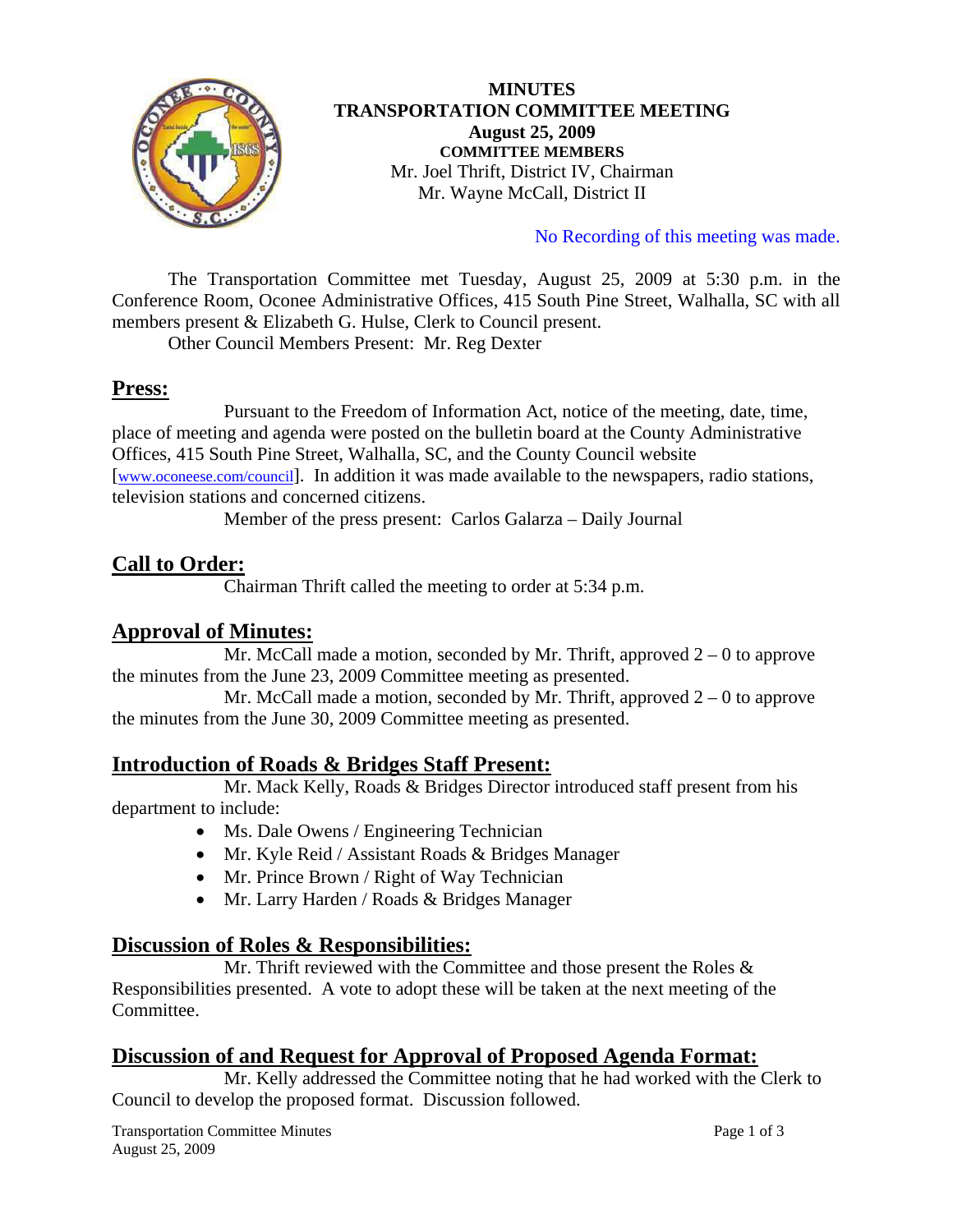

#### **MINUTES TRANSPORTATION COMMITTEE MEETING August 25, 2009 COMMITTEE MEMBERS**  Mr. Joel Thrift, District IV, Chairman Mr. Wayne McCall, District II

No Recording of this meeting was made.

 The Transportation Committee met Tuesday, August 25, 2009 at 5:30 p.m. in the Conference Room, Oconee Administrative Offices, 415 South Pine Street, Walhalla, SC with all members present & Elizabeth G. Hulse, Clerk to Council present.

Other Council Members Present: Mr. Reg Dexter

## **Press:**

 Pursuant to the Freedom of Information Act, notice of the meeting, date, time, place of meeting and agenda were posted on the bulletin board at the County Administrative Offices, 415 South Pine Street, Walhalla, SC, and the County Council website [[www.oconeese.com/council\]](http://www.oconeese.com/council). In addition it was made available to the newspapers, radio stations, television stations and concerned citizens.

Member of the press present: Carlos Galarza – Daily Journal

# **Call to Order:**

Chairman Thrift called the meeting to order at 5:34 p.m.

## **Approval of Minutes:**

Mr. McCall made a motion, seconded by Mr. Thrift, approved  $2 - 0$  to approve the minutes from the June 23, 2009 Committee meeting as presented.

Mr. McCall made a motion, seconded by Mr. Thrift, approved  $2 - 0$  to approve the minutes from the June 30, 2009 Committee meeting as presented.

## **Introduction of Roads & Bridges Staff Present:**

 Mr. Mack Kelly, Roads & Bridges Director introduced staff present from his department to include:

- Ms. Dale Owens / Engineering Technician
- Mr. Kyle Reid / Assistant Roads & Bridges Manager
- Mr. Prince Brown / Right of Way Technician
- Mr. Larry Harden / Roads & Bridges Manager

## **Discussion of Roles & Responsibilities:**

 Mr. Thrift reviewed with the Committee and those present the Roles & Responsibilities presented. A vote to adopt these will be taken at the next meeting of the Committee.

## **Discussion of and Request for Approval of Proposed Agenda Format:**

 Mr. Kelly addressed the Committee noting that he had worked with the Clerk to Council to develop the proposed format. Discussion followed.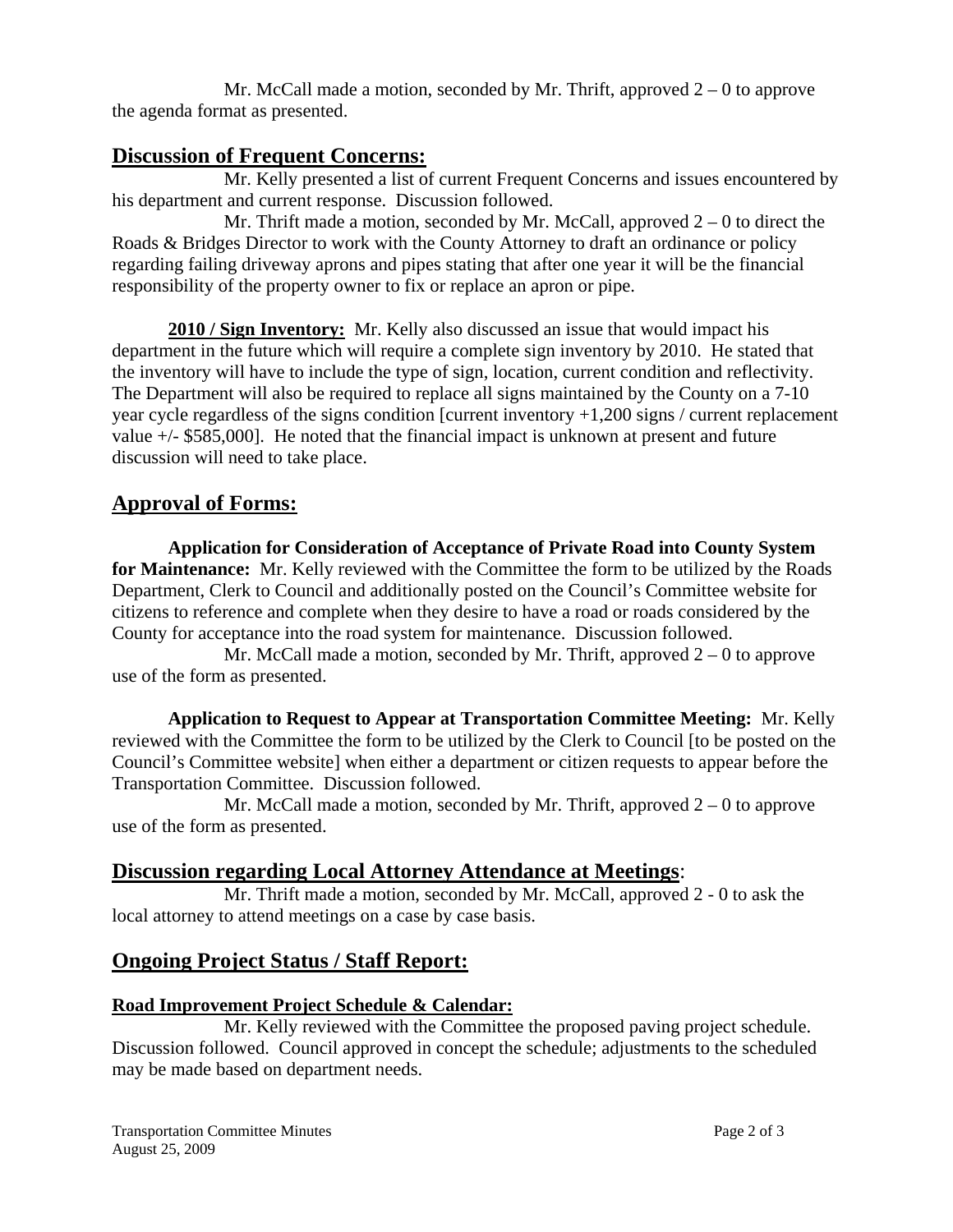Mr. McCall made a motion, seconded by Mr. Thrift, approved  $2 - 0$  to approve the agenda format as presented.

## **Discussion of Frequent Concerns:**

 Mr. Kelly presented a list of current Frequent Concerns and issues encountered by his department and current response. Discussion followed.

Mr. Thrift made a motion, seconded by Mr. McCall, approved  $2 - 0$  to direct the Roads & Bridges Director to work with the County Attorney to draft an ordinance or policy regarding failing driveway aprons and pipes stating that after one year it will be the financial responsibility of the property owner to fix or replace an apron or pipe.

**2010 / Sign Inventory:** Mr. Kelly also discussed an issue that would impact his department in the future which will require a complete sign inventory by 2010. He stated that the inventory will have to include the type of sign, location, current condition and reflectivity. The Department will also be required to replace all signs maintained by the County on a 7-10 year cycle regardless of the signs condition [current inventory +1,200 signs / current replacement value +/- \$585,000]. He noted that the financial impact is unknown at present and future discussion will need to take place.

## **Approval of Forms:**

**Application for Consideration of Acceptance of Private Road into County System for Maintenance:** Mr. Kelly reviewed with the Committee the form to be utilized by the Roads Department, Clerk to Council and additionally posted on the Council's Committee website for citizens to reference and complete when they desire to have a road or roads considered by the County for acceptance into the road system for maintenance. Discussion followed.

Mr. McCall made a motion, seconded by Mr. Thrift, approved  $2 - 0$  to approve use of the form as presented.

**Application to Request to Appear at Transportation Committee Meeting:** Mr. Kelly reviewed with the Committee the form to be utilized by the Clerk to Council [to be posted on the Council's Committee website] when either a department or citizen requests to appear before the Transportation Committee. Discussion followed.

Mr. McCall made a motion, seconded by Mr. Thrift, approved  $2 - 0$  to approve use of the form as presented.

## **Discussion regarding Local Attorney Attendance at Meetings**:

 Mr. Thrift made a motion, seconded by Mr. McCall, approved 2 - 0 to ask the local attorney to attend meetings on a case by case basis.

## **Ongoing Project Status / Staff Report:**

#### **Road Improvement Project Schedule & Calendar:**

 Mr. Kelly reviewed with the Committee the proposed paving project schedule. Discussion followed. Council approved in concept the schedule; adjustments to the scheduled may be made based on department needs.